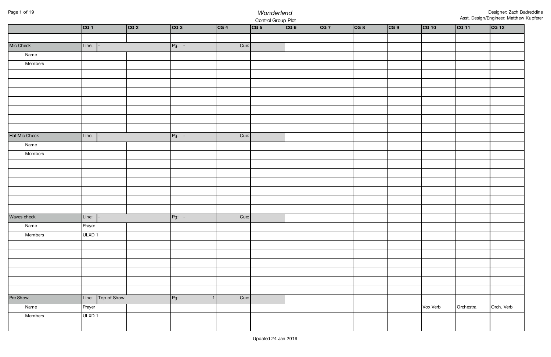## Page 1 of 19 *Wonderland* Control Group Plot

|           |               | CG 1              | CG 2 | CG 3   | CG 4 | CG 5 | CG 6 | CG 7 | CG 8 | CG 9 | CG 10    | CG 11     | CG 12      |
|-----------|---------------|-------------------|------|--------|------|------|------|------|------|------|----------|-----------|------------|
|           |               |                   |      |        |      |      |      |      |      |      |          |           |            |
| Mic Check |               | Line:             |      | $Pg$ : | Cue: |      |      |      |      |      |          |           |            |
|           | Name          |                   |      |        |      |      |      |      |      |      |          |           |            |
|           | Members       |                   |      |        |      |      |      |      |      |      |          |           |            |
|           |               |                   |      |        |      |      |      |      |      |      |          |           |            |
|           |               |                   |      |        |      |      |      |      |      |      |          |           |            |
|           |               |                   |      |        |      |      |      |      |      |      |          |           |            |
|           |               |                   |      |        |      |      |      |      |      |      |          |           |            |
|           |               |                   |      |        |      |      |      |      |      |      |          |           |            |
|           |               |                   |      |        |      |      |      |      |      |      |          |           |            |
|           |               |                   |      |        |      |      |      |      |      |      |          |           |            |
|           | Hat Mic Check | Line:             |      | $Pg$ : | Cue: |      |      |      |      |      |          |           |            |
|           | Name          |                   |      |        |      |      |      |      |      |      |          |           |            |
|           | Members       |                   |      |        |      |      |      |      |      |      |          |           |            |
|           |               |                   |      |        |      |      |      |      |      |      |          |           |            |
|           |               |                   |      |        |      |      |      |      |      |      |          |           |            |
|           |               |                   |      |        |      |      |      |      |      |      |          |           |            |
|           |               |                   |      |        |      |      |      |      |      |      |          |           |            |
|           |               |                   |      |        |      |      |      |      |      |      |          |           |            |
|           |               |                   |      |        |      |      |      |      |      |      |          |           |            |
|           | Waves check   | Line:             |      | $Pg$ : | Cue: |      |      |      |      |      |          |           |            |
|           | Name          | Prayer            |      |        |      |      |      |      |      |      |          |           |            |
|           | Members       | ULXD <sub>1</sub> |      |        |      |      |      |      |      |      |          |           |            |
|           |               |                   |      |        |      |      |      |      |      |      |          |           |            |
|           |               |                   |      |        |      |      |      |      |      |      |          |           |            |
|           |               |                   |      |        |      |      |      |      |      |      |          |           |            |
|           |               |                   |      |        |      |      |      |      |      |      |          |           |            |
|           |               |                   |      |        |      |      |      |      |      |      |          |           |            |
|           |               |                   |      |        |      |      |      |      |      |      |          |           |            |
| Pre Show  |               | Line: Top of Show |      | $Pg$ : | Cue: |      |      |      |      |      |          |           |            |
|           | Name          | Prayer            |      |        |      |      |      |      |      |      | Vox Verb | Orchestra | Orch. Verb |
|           | Members       | ULXD <sub>1</sub> |      |        |      |      |      |      |      |      |          |           |            |
|           |               |                   |      |        |      |      |      |      |      |      |          |           |            |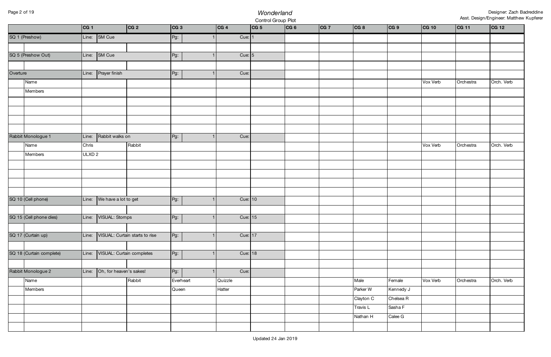## Page 2 of 19 *Wonderland* Control Group Plot

|          |                          | CG 1              |                           | CG 2                           | CG 3      | CG 4    | CG 5      | CG 6 | CG 7 | CG 8      | CG 9      | CG 10    | CG 11     | CG 12      |
|----------|--------------------------|-------------------|---------------------------|--------------------------------|-----------|---------|-----------|------|------|-----------|-----------|----------|-----------|------------|
|          | SQ 1 (Preshow)           |                   | Line: SM Cue              |                                | Pg:       |         | Cue: $1$  |      |      |           |           |          |           |            |
|          |                          |                   |                           |                                |           |         |           |      |      |           |           |          |           |            |
|          | SQ 5 (Preshow Out)       |                   | Line: SM Cue              |                                | Pg:       |         | Cue: $5$  |      |      |           |           |          |           |            |
|          |                          |                   |                           |                                |           |         |           |      |      |           |           |          |           |            |
| Overture |                          | Line:             | Prayer finish             |                                | Pg:       |         | Cue:      |      |      |           |           |          |           |            |
|          | Name                     |                   |                           |                                |           |         |           |      |      |           |           | Vox Verb | Orchestra | Orch. Verb |
|          | Members                  |                   |                           |                                |           |         |           |      |      |           |           |          |           |            |
|          |                          |                   |                           |                                |           |         |           |      |      |           |           |          |           |            |
|          |                          |                   |                           |                                |           |         |           |      |      |           |           |          |           |            |
|          |                          |                   |                           |                                |           |         |           |      |      |           |           |          |           |            |
|          |                          |                   |                           |                                |           |         |           |      |      |           |           |          |           |            |
|          | Rabbit Monologue 1       | Line:             | Rabbit walks on           |                                | Pg:       |         | Cue:      |      |      |           |           |          |           |            |
|          | Name                     | Chris             |                           | Rabbit                         |           |         |           |      |      |           |           | Vox Verb | Orchestra | Orch. Verb |
|          | Members                  | ULXD <sub>2</sub> |                           |                                |           |         |           |      |      |           |           |          |           |            |
|          |                          |                   |                           |                                |           |         |           |      |      |           |           |          |           |            |
|          |                          |                   |                           |                                |           |         |           |      |      |           |           |          |           |            |
|          |                          |                   |                           |                                |           |         |           |      |      |           |           |          |           |            |
|          |                          |                   |                           |                                |           |         |           |      |      |           |           |          |           |            |
|          | SQ 10 (Cell phone)       | Line:             | We have a lot to get      |                                | Pg:       |         | Cue: 10   |      |      |           |           |          |           |            |
|          |                          |                   |                           |                                |           |         |           |      |      |           |           |          |           |            |
|          | SQ 15 (Cell phone dies)  | Line:             | VISUAL: Stomps            |                                | Pg:       |         | Cue: $15$ |      |      |           |           |          |           |            |
|          |                          |                   |                           |                                |           |         |           |      |      |           |           |          |           |            |
|          | SQ 17 (Curtain up)       | Line:             |                           | VISUAL: Curtain starts to rise | $Pg$ :    |         | Cue: 17   |      |      |           |           |          |           |            |
|          |                          |                   |                           |                                |           |         |           |      |      |           |           |          |           |            |
|          | SQ 18 (Curtain complete) | Line:             | VISUAL: Curtain completes |                                | $Pg$ :    |         | Cue: 18   |      |      |           |           |          |           |            |
|          |                          |                   |                           |                                |           |         |           |      |      |           |           |          |           |            |
|          | Rabbit Monologue 2       | Line:             | Oh, for heaven's sakes!   |                                | Pg:       |         | Cue:      |      |      |           |           |          |           |            |
|          | Name                     |                   |                           | Rabbit                         | Everheart | Quizzle |           |      |      | Male      | Female    | Vox Verb | Orchestra | Orch. Verb |
|          | Members                  |                   |                           |                                | Queen     | Hatter  |           |      |      | Parker W  | Kennedy J |          |           |            |
|          |                          |                   |                           |                                |           |         |           |      |      | Clayton C | Chelsea R |          |           |            |
|          |                          |                   |                           |                                |           |         |           |      |      | Travis L  | Sasha F   |          |           |            |
|          |                          |                   |                           |                                |           |         |           |      |      | Nathan H  | Calee G   |          |           |            |
|          |                          |                   |                           |                                |           |         |           |      |      |           |           |          |           |            |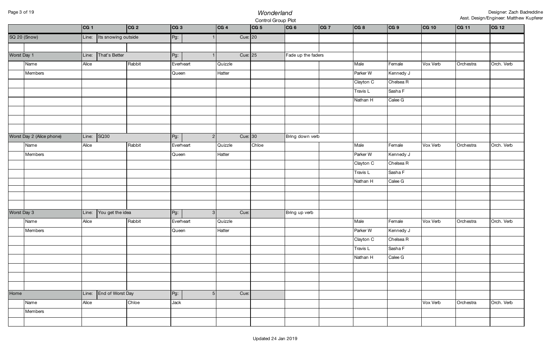## Page 3 of 19 *Wonderland* Control Group Plot

|             |                           | CG 1  |                     | CG 2   | CG 3      |                | CG 4    |           | CG 5  | CG 6               | CG 7 | CG 8      | CG 9      | CG 10    | CG 11     | CG 12      |
|-------------|---------------------------|-------|---------------------|--------|-----------|----------------|---------|-----------|-------|--------------------|------|-----------|-----------|----------|-----------|------------|
|             | SQ 20 (Snow)              | Line: | Its snowing outside |        | Pg:       |                |         | Cue: 20   |       |                    |      |           |           |          |           |            |
|             |                           |       |                     |        |           |                |         |           |       |                    |      |           |           |          |           |            |
| Worst Day 1 |                           | Line: | That's Better       |        | $Pg$ :    |                |         | Cue: $25$ |       | Fade up the faders |      |           |           |          |           |            |
|             | Name                      | Alice |                     | Rabbit | Everheart |                | Quizzle |           |       |                    |      | Male      | Female    | Vox Verb | Orchestra | Orch. Verb |
|             | Members                   |       |                     |        | Queen     |                | Hatter  |           |       |                    |      | Parker W  | Kennedy J |          |           |            |
|             |                           |       |                     |        |           |                |         |           |       |                    |      | Clayton C | Chelsea R |          |           |            |
|             |                           |       |                     |        |           |                |         |           |       |                    |      | Travis L  | Sasha F   |          |           |            |
|             |                           |       |                     |        |           |                |         |           |       |                    |      | Nathan H  | Calee G   |          |           |            |
|             |                           |       |                     |        |           |                |         |           |       |                    |      |           |           |          |           |            |
|             |                           |       |                     |        |           |                |         |           |       |                    |      |           |           |          |           |            |
|             |                           |       |                     |        |           |                |         |           |       |                    |      |           |           |          |           |            |
|             | Worst Day 2 (Alice phone) | Line: | SQ30                |        | $Pg$ :    | $\overline{2}$ |         | Cue: $30$ |       | Bring down verb    |      |           |           |          |           |            |
|             | Name                      | Alice |                     | Rabbit | Everheart |                | Quizzle |           | Chloe |                    |      | Male      | Female    | Vox Verb | Orchestra | Orch. Verb |
|             | Members                   |       |                     |        | Queen     |                | Hatter  |           |       |                    |      | Parker W  | Kennedy J |          |           |            |
|             |                           |       |                     |        |           |                |         |           |       |                    |      | Clayton C | Chelsea R |          |           |            |
|             |                           |       |                     |        |           |                |         |           |       |                    |      | Travis L  | Sasha F   |          |           |            |
|             |                           |       |                     |        |           |                |         |           |       |                    |      | Nathan H  | Calee G   |          |           |            |
|             |                           |       |                     |        |           |                |         |           |       |                    |      |           |           |          |           |            |
|             |                           |       |                     |        |           |                |         |           |       |                    |      |           |           |          |           |            |
| Worst Day 3 |                           | Line: | You get the idea    |        | $Pg$ :    | $\mathbf{3}$   |         | Cue:      |       | Bring up verb      |      |           |           |          |           |            |
|             | Name                      | Alice |                     | Rabbit | Everheart |                | Quizzle |           |       |                    |      | Male      | Female    | Vox Verb | Orchestra | Orch. Verb |
|             | Members                   |       |                     |        | Queen     |                | Hatter  |           |       |                    |      | Parker W  | Kennedy J |          |           |            |
|             |                           |       |                     |        |           |                |         |           |       |                    |      | Clayton C | Chelsea R |          |           |            |
|             |                           |       |                     |        |           |                |         |           |       |                    |      | Travis L  | Sasha F   |          |           |            |
|             |                           |       |                     |        |           |                |         |           |       |                    |      | Nathan H  | Calee G   |          |           |            |
|             |                           |       |                     |        |           |                |         |           |       |                    |      |           |           |          |           |            |
|             |                           |       |                     |        |           |                |         |           |       |                    |      |           |           |          |           |            |
|             |                           |       |                     |        |           |                |         |           |       |                    |      |           |           |          |           |            |
| Home        |                           | Line: | End of Worst Day    |        | $Pg$ :    | 5              |         | Cue:      |       |                    |      |           |           |          |           |            |
|             | Name                      | Alice |                     | Chloe  | Jack      |                |         |           |       |                    |      |           |           | Vox Verb | Orchestra | Orch. Verb |
|             | Members                   |       |                     |        |           |                |         |           |       |                    |      |           |           |          |           |            |
|             |                           |       |                     |        |           |                |         |           |       |                    |      |           |           |          |           |            |
|             |                           |       |                     |        |           |                |         |           |       |                    |      |           |           |          |           |            |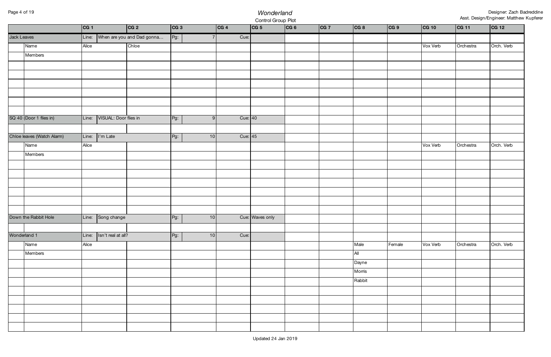# Page 4 of 19 *Wonderland* Control Group Plot

|              |                            | CG 1  |                       | CG 2                       | CG 3   |    | CG 4    | CG 5            | CG 6 | CG 7 | CG 8   | CG 9   | CG 10    | CG 11     | CG 12      |
|--------------|----------------------------|-------|-----------------------|----------------------------|--------|----|---------|-----------------|------|------|--------|--------|----------|-----------|------------|
| Jack Leaves  |                            | Line: |                       | When are you and Dad gonna | $Pg$ : | 7  | Cue:    |                 |      |      |        |        |          |           |            |
|              | Name                       | Alice |                       | Chloe                      |        |    |         |                 |      |      |        |        | Vox Verb | Orchestra | Orch. Verb |
|              | Members                    |       |                       |                            |        |    |         |                 |      |      |        |        |          |           |            |
|              |                            |       |                       |                            |        |    |         |                 |      |      |        |        |          |           |            |
|              |                            |       |                       |                            |        |    |         |                 |      |      |        |        |          |           |            |
|              |                            |       |                       |                            |        |    |         |                 |      |      |        |        |          |           |            |
|              |                            |       |                       |                            |        |    |         |                 |      |      |        |        |          |           |            |
|              |                            |       |                       |                            |        |    |         |                 |      |      |        |        |          |           |            |
|              |                            |       |                       |                            |        |    |         |                 |      |      |        |        |          |           |            |
|              | SQ 40 (Door 1 flies in)    | Line: | VISUAL: Door flies in |                            | $Pg$ : | 9  | Cue: 40 |                 |      |      |        |        |          |           |            |
|              |                            |       |                       |                            |        |    |         |                 |      |      |        |        |          |           |            |
|              | Chloe leaves (Watch Alarm) | Line: | I'm Late              |                            | Pg:    | 10 | Cue: 45 |                 |      |      |        |        |          |           |            |
|              | Name                       | Alice |                       |                            |        |    |         |                 |      |      |        |        | Vox Verb | Orchestra | Orch. Verb |
|              | Members                    |       |                       |                            |        |    |         |                 |      |      |        |        |          |           |            |
|              |                            |       |                       |                            |        |    |         |                 |      |      |        |        |          |           |            |
|              |                            |       |                       |                            |        |    |         |                 |      |      |        |        |          |           |            |
|              |                            |       |                       |                            |        |    |         |                 |      |      |        |        |          |           |            |
|              |                            |       |                       |                            |        |    |         |                 |      |      |        |        |          |           |            |
|              |                            |       |                       |                            |        |    |         |                 |      |      |        |        |          |           |            |
|              | Down the Rabbit Hole       | Line: | Song change           |                            |        | 10 |         | Cue: Waves only |      |      |        |        |          |           |            |
|              |                            |       |                       |                            | $Pg$ : |    |         |                 |      |      |        |        |          |           |            |
| Wonderland 1 |                            | Line: | Isn't real at all?    |                            | $Pg$ : | 10 | Cue:    |                 |      |      |        |        |          |           |            |
|              | Name                       | Alice |                       |                            |        |    |         |                 |      |      | Male   | Female | Vox Verb | Orchestra | Orch. Verb |
|              | Members                    |       |                       |                            |        |    |         |                 |      |      | All    |        |          |           |            |
|              |                            |       |                       |                            |        |    |         |                 |      |      | Dayne  |        |          |           |            |
|              |                            |       |                       |                            |        |    |         |                 |      |      | Morris |        |          |           |            |
|              |                            |       |                       |                            |        |    |         |                 |      |      | Rabbit |        |          |           |            |
|              |                            |       |                       |                            |        |    |         |                 |      |      |        |        |          |           |            |
|              |                            |       |                       |                            |        |    |         |                 |      |      |        |        |          |           |            |
|              |                            |       |                       |                            |        |    |         |                 |      |      |        |        |          |           |            |
|              |                            |       |                       |                            |        |    |         |                 |      |      |        |        |          |           |            |
|              |                            |       |                       |                            |        |    |         |                 |      |      |        |        |          |           |            |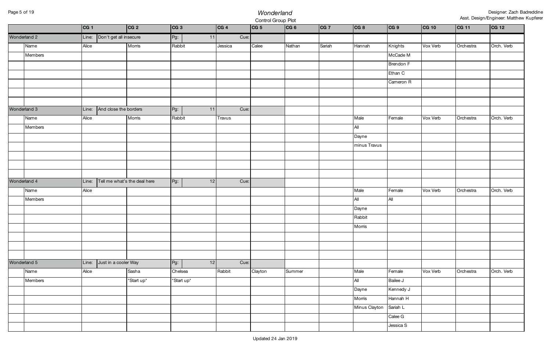# Page 5 of 19 *Wonderland* Control Group Plot

|              | CG 1  |                              | CG 2                               | CG 3       |    | CG 4    | CG 5    | CG 6   | CG 7   | CG 8          | CG 9                 | CG 10    | CG 11     | CG 12      |
|--------------|-------|------------------------------|------------------------------------|------------|----|---------|---------|--------|--------|---------------|----------------------|----------|-----------|------------|
| Wonderland 2 |       | Line: Don't get all insecure |                                    | $Pg$ :     | 11 | Cue:    |         |        |        |               |                      |          |           |            |
| Name         | Alice |                              | Morris                             | Rabbit     |    | Jessica | Calee   | Nathan | Sariah | Hannah        | Knights              | Vox Verb | Orchestra | Orch. Verb |
| Members      |       |                              |                                    |            |    |         |         |        |        |               | McCade M             |          |           |            |
|              |       |                              |                                    |            |    |         |         |        |        |               | Brendon F            |          |           |            |
|              |       |                              |                                    |            |    |         |         |        |        |               | Ethan C              |          |           |            |
|              |       |                              |                                    |            |    |         |         |        |        |               | Cameron R            |          |           |            |
|              |       |                              |                                    |            |    |         |         |        |        |               |                      |          |           |            |
|              |       |                              |                                    |            |    |         |         |        |        |               |                      |          |           |            |
| Wonderland 3 |       | Line: And close the borders  |                                    | Pg:        | 11 | Cue:    |         |        |        |               |                      |          |           |            |
| Name         | Alice |                              | Morris                             | Rabbit     |    | Travus  |         |        |        | Male          | Female               | Vox Verb | Orchestra | Orch. Verb |
| Members      |       |                              |                                    |            |    |         |         |        |        | All           |                      |          |           |            |
|              |       |                              |                                    |            |    |         |         |        |        | Dayne         |                      |          |           |            |
|              |       |                              |                                    |            |    |         |         |        |        | minus Travus  |                      |          |           |            |
|              |       |                              |                                    |            |    |         |         |        |        |               |                      |          |           |            |
|              |       |                              |                                    |            |    |         |         |        |        |               |                      |          |           |            |
|              |       |                              |                                    |            |    |         |         |        |        |               |                      |          |           |            |
| Wonderland 4 |       |                              | Line: Tell me what's the deal here | $Pg$ :     | 12 | Cue:    |         |        |        |               |                      |          |           |            |
| Name         |       |                              |                                    |            |    |         |         |        |        |               |                      |          |           |            |
|              | Alice |                              |                                    |            |    |         |         |        |        | Male          | Female               | Vox Verb | Orchestra | Orch. Verb |
| Members      |       |                              |                                    |            |    |         |         |        |        | All           | All                  |          |           |            |
|              |       |                              |                                    |            |    |         |         |        |        | Dayne         |                      |          |           |            |
|              |       |                              |                                    |            |    |         |         |        |        | Rabbit        |                      |          |           |            |
|              |       |                              |                                    |            |    |         |         |        |        | Morris        |                      |          |           |            |
|              |       |                              |                                    |            |    |         |         |        |        |               |                      |          |           |            |
|              |       |                              |                                    |            |    |         |         |        |        |               |                      |          |           |            |
|              |       |                              |                                    |            |    |         |         |        |        |               |                      |          |           |            |
| Wonderland 5 | Line: | Just in a cooler Way         |                                    | Pg:        | 12 | Cue:    |         |        |        |               |                      |          |           |            |
| Name         | Alice |                              | Sasha                              | Chelsea    |    | Rabbit  | Clayton | Summer |        | Male          | Female               | Vox Verb | Orchestra | Orch. Verb |
| Members      |       |                              | *Start up*                         | *Start up* |    |         |         |        |        | All           | Bailee J             |          |           |            |
|              |       |                              |                                    |            |    |         |         |        |        | Dayne         | Kennedy J            |          |           |            |
|              |       |                              |                                    |            |    |         |         |        |        | Morris        | Hannah H             |          |           |            |
|              |       |                              |                                    |            |    |         |         |        |        | Minus Clayton | Sariah L             |          |           |            |
|              |       |                              |                                    |            |    |         |         |        |        |               | Calee G<br>Jessica S |          |           |            |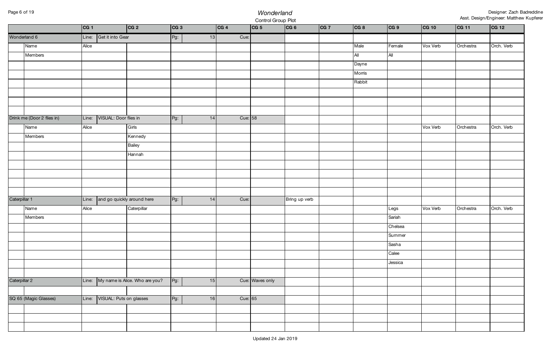## Page 6 of 19 *Wonderland* Control Group Plot

|               |                            | CG 1  |                            | CG 2                                 | CG 3   |    | CG 4    | the process of the process and the contracts<br> CG 5 | CG 6          | CG 7 | CG 8   | CG 9    | CG 10    | CG 11     | CG 12      |
|---------------|----------------------------|-------|----------------------------|--------------------------------------|--------|----|---------|-------------------------------------------------------|---------------|------|--------|---------|----------|-----------|------------|
|               | Wonderland 6               |       | Line: Get it into Gear     |                                      | $Pg$ : | 13 | Cue:    |                                                       |               |      |        |         |          |           |            |
|               | Name                       | Alice |                            |                                      |        |    |         |                                                       |               |      | Male   | Female  | Vox Verb | Orchestra | Orch. Verb |
|               | Members                    |       |                            |                                      |        |    |         |                                                       |               |      | All    | All     |          |           |            |
|               |                            |       |                            |                                      |        |    |         |                                                       |               |      | Dayne  |         |          |           |            |
|               |                            |       |                            |                                      |        |    |         |                                                       |               |      | Morris |         |          |           |            |
|               |                            |       |                            |                                      |        |    |         |                                                       |               |      | Rabbit |         |          |           |            |
|               |                            |       |                            |                                      |        |    |         |                                                       |               |      |        |         |          |           |            |
|               |                            |       |                            |                                      |        |    |         |                                                       |               |      |        |         |          |           |            |
|               |                            |       |                            |                                      |        |    |         |                                                       |               |      |        |         |          |           |            |
|               | Drink me (Door 2 flies in) | Line: | VISUAL: Door flies in      |                                      | $Pg$ : | 14 | Cue: 58 |                                                       |               |      |        |         |          |           |            |
|               | Name                       | Alice |                            | Girls                                |        |    |         |                                                       |               |      |        |         | Vox Verb | Orchestra | Orch. Verb |
|               | Members                    |       |                            | Kennedy                              |        |    |         |                                                       |               |      |        |         |          |           |            |
|               |                            |       |                            | Bailey                               |        |    |         |                                                       |               |      |        |         |          |           |            |
|               |                            |       |                            | Hannah                               |        |    |         |                                                       |               |      |        |         |          |           |            |
|               |                            |       |                            |                                      |        |    |         |                                                       |               |      |        |         |          |           |            |
|               |                            |       |                            |                                      |        |    |         |                                                       |               |      |        |         |          |           |            |
|               |                            |       |                            |                                      |        |    |         |                                                       |               |      |        |         |          |           |            |
|               |                            |       |                            |                                      |        |    |         |                                                       |               |      |        |         |          |           |            |
| Caterpillar 1 |                            | Line: | and go quickly around here |                                      | $Pg$ : | 14 | Cue:    |                                                       | Bring up verb |      |        |         |          |           |            |
|               | Name                       | Alice |                            | Caterpillar                          |        |    |         |                                                       |               |      |        | Legs    | Vox Verb | Orchestra | Orch. Verb |
|               | Members                    |       |                            |                                      |        |    |         |                                                       |               |      |        | Sariah  |          |           |            |
|               |                            |       |                            |                                      |        |    |         |                                                       |               |      |        | Chelsea |          |           |            |
|               |                            |       |                            |                                      |        |    |         |                                                       |               |      |        | Summer  |          |           |            |
|               |                            |       |                            |                                      |        |    |         |                                                       |               |      |        | Sasha   |          |           |            |
|               |                            |       |                            |                                      |        |    |         |                                                       |               |      |        | Calee   |          |           |            |
|               |                            |       |                            |                                      |        |    |         |                                                       |               |      |        | Jessica |          |           |            |
|               |                            |       |                            |                                      |        |    |         |                                                       |               |      |        |         |          |           |            |
| Caterpillar 2 |                            |       |                            | Line: My name is Alice. Who are you? | $Pg$ : | 15 |         | Cue: Waves only                                       |               |      |        |         |          |           |            |
|               |                            |       |                            |                                      |        |    |         |                                                       |               |      |        |         |          |           |            |
|               | SQ 65 (Magic Glasses)      | Line: | VISUAL: Puts on glasses    |                                      | $Pg$ : | 16 | Cue: 65 |                                                       |               |      |        |         |          |           |            |
|               |                            |       |                            |                                      |        |    |         |                                                       |               |      |        |         |          |           |            |
|               |                            |       |                            |                                      |        |    |         |                                                       |               |      |        |         |          |           |            |
|               |                            |       |                            |                                      |        |    |         |                                                       |               |      |        |         |          |           |            |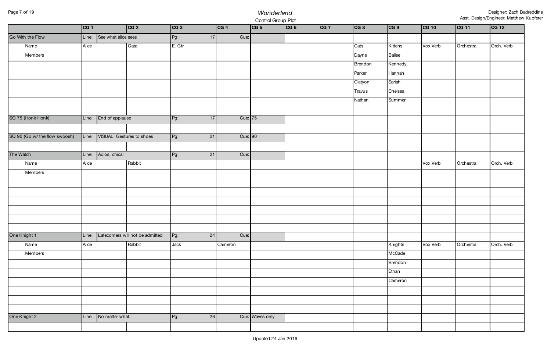# Page 7 of 19 *Wonderland* Control Group Plot

|              |                               | CG 1  |                           | CG 2                            | CG 3         | CG 4    | CG 5            | CG 6 | CG 7 | CG 8    | CG 9    | CG 10    | CG 11     | CG 12      |
|--------------|-------------------------------|-------|---------------------------|---------------------------------|--------------|---------|-----------------|------|------|---------|---------|----------|-----------|------------|
|              | Go With the Flow              | Line: | See what alice sees       |                                 | Pg:<br>17    | Cue:    |                 |      |      |         |         |          |           |            |
|              | Name                          | Alice |                           | Gata                            | E. Gtr       |         |                 |      |      | Cats    | Kittens | Vox Verb | Orchestra | Orch. Verb |
|              | Members                       |       |                           |                                 |              |         |                 |      |      | Dayne   | Bailee  |          |           |            |
|              |                               |       |                           |                                 |              |         |                 |      |      | Brendon | Kennedy |          |           |            |
|              |                               |       |                           |                                 |              |         |                 |      |      | Parker  | Hannah  |          |           |            |
|              |                               |       |                           |                                 |              |         |                 |      |      | Clatyon | Sariah  |          |           |            |
|              |                               |       |                           |                                 |              |         |                 |      |      | Travus  | Chelsea |          |           |            |
|              |                               |       |                           |                                 |              |         |                 |      |      | Nathan  | Summer  |          |           |            |
|              |                               |       |                           |                                 |              |         |                 |      |      |         |         |          |           |            |
|              | SQ 75 (Honk Honk)             | Line: | End of applause           |                                 | Pg:<br>17    | Cue: 75 |                 |      |      |         |         |          |           |            |
|              |                               |       |                           |                                 |              |         |                 |      |      |         |         |          |           |            |
|              | SQ 90 (Go w/ the flow swoosh) | Line: | VISUAL: Gestures to shoes |                                 | $Pg$ :<br>21 | Cue: 90 |                 |      |      |         |         |          |           |            |
|              |                               |       |                           |                                 |              |         |                 |      |      |         |         |          |           |            |
| The Watch    |                               | Line: | Adios, chica!             |                                 | Pg:<br>21    | Cue:    |                 |      |      |         |         |          |           |            |
|              | Name                          | Alice |                           | Rabbit                          |              |         |                 |      |      |         |         | Vox Verb | Orchestra | Orch. Verb |
|              | Members                       |       |                           |                                 |              |         |                 |      |      |         |         |          |           |            |
|              |                               |       |                           |                                 |              |         |                 |      |      |         |         |          |           |            |
|              |                               |       |                           |                                 |              |         |                 |      |      |         |         |          |           |            |
|              |                               |       |                           |                                 |              |         |                 |      |      |         |         |          |           |            |
|              |                               |       |                           |                                 |              |         |                 |      |      |         |         |          |           |            |
|              |                               |       |                           |                                 |              |         |                 |      |      |         |         |          |           |            |
|              |                               |       |                           |                                 |              |         |                 |      |      |         |         |          |           |            |
| One Knight 1 |                               | Line: |                           | Latecomers will not be admitted | $Pg$ :<br>24 | Cue:    |                 |      |      |         |         |          |           |            |
|              | Name                          | Alice |                           | Rabbit                          | Jack         | Cameron |                 |      |      |         | Knights | Vox Verb | Orchestra | Orch. Verb |
|              | Members                       |       |                           |                                 |              |         |                 |      |      |         | McCade  |          |           |            |
|              |                               |       |                           |                                 |              |         |                 |      |      |         | Brendon |          |           |            |
|              |                               |       |                           |                                 |              |         |                 |      |      |         | Ethan   |          |           |            |
|              |                               |       |                           |                                 |              |         |                 |      |      |         | Cameron |          |           |            |
|              |                               |       |                           |                                 |              |         |                 |      |      |         |         |          |           |            |
|              |                               |       |                           |                                 |              |         |                 |      |      |         |         |          |           |            |
|              |                               |       |                           |                                 |              |         |                 |      |      |         |         |          |           |            |
| One Knight 2 |                               | Line: | No matter what.           |                                 | Pg:<br>26    |         | Cue: Waves only |      |      |         |         |          |           |            |
|              |                               |       |                           |                                 |              |         |                 |      |      |         |         |          |           |            |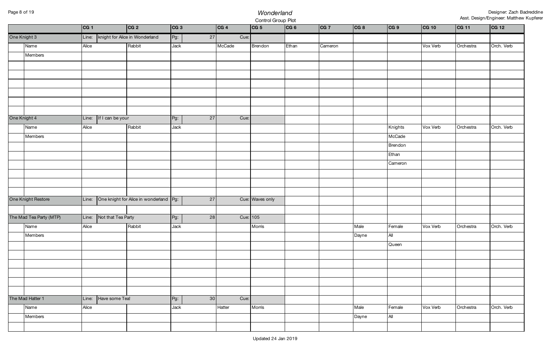# Page 8 of 19 *Wonderland* Control Group Plot

|              |                         | CG 1  |                        | CG 2                                   | CG 3   |        | CG 4     | in a common and a substitution of the<br> CG 5 | CG 6  | CG 7    | CG 8  | CG 9    | CG 10    | CG 11     | CG 12      |
|--------------|-------------------------|-------|------------------------|----------------------------------------|--------|--------|----------|------------------------------------------------|-------|---------|-------|---------|----------|-----------|------------|
| One Knight 3 |                         |       |                        | Line:   knight for Alice in Wonderland | $Pg$ : | $27\,$ | Cue:     |                                                |       |         |       |         |          |           |            |
|              | Name                    | Alice |                        | Rabbit                                 | Jack   |        | McCade   | Brendon                                        | Ethan | Cameron |       |         | Vox Verb | Orchestra | Orch. Verb |
|              | Members                 |       |                        |                                        |        |        |          |                                                |       |         |       |         |          |           |            |
|              |                         |       |                        |                                        |        |        |          |                                                |       |         |       |         |          |           |            |
|              |                         |       |                        |                                        |        |        |          |                                                |       |         |       |         |          |           |            |
|              |                         |       |                        |                                        |        |        |          |                                                |       |         |       |         |          |           |            |
|              |                         |       |                        |                                        |        |        |          |                                                |       |         |       |         |          |           |            |
|              |                         |       |                        |                                        |        |        |          |                                                |       |         |       |         |          |           |            |
|              |                         |       |                        |                                        |        |        |          |                                                |       |         |       |         |          |           |            |
| One Knight 4 |                         |       | Line: If I can be your |                                        | $Pg$ : | 27     | Cue:     |                                                |       |         |       |         |          |           |            |
|              | Name                    | Alice |                        | Rabbit                                 | Jack   |        |          |                                                |       |         |       | Knights | Vox Verb | Orchestra | Orch. Verb |
|              | Members                 |       |                        |                                        |        |        |          |                                                |       |         |       | McCade  |          |           |            |
|              |                         |       |                        |                                        |        |        |          |                                                |       |         |       | Brendon |          |           |            |
|              |                         |       |                        |                                        |        |        |          |                                                |       |         |       | Ethan   |          |           |            |
|              |                         |       |                        |                                        |        |        |          |                                                |       |         |       | Cameron |          |           |            |
|              |                         |       |                        |                                        |        |        |          |                                                |       |         |       |         |          |           |            |
|              |                         |       |                        |                                        |        |        |          |                                                |       |         |       |         |          |           |            |
|              | One Knight Restore      | Line: |                        | One knight for Alice in wonderland Pg: |        | 27     |          | Cue: Waves only                                |       |         |       |         |          |           |            |
|              |                         |       |                        |                                        |        |        |          |                                                |       |         |       |         |          |           |            |
|              | The Mad Tea Party (MTP) | Line: | Not that Tea Party     |                                        | Pg:    | 28     | Cue: 105 |                                                |       |         |       |         |          |           |            |
|              | Name                    | Alice |                        | Rabbit                                 | Jack   |        |          | Morris                                         |       |         | Male  | Female  | Vox Verb | Orchestra | Orch. Verb |
|              | Members                 |       |                        |                                        |        |        |          |                                                |       |         | Dayne | All     |          |           |            |
|              |                         |       |                        |                                        |        |        |          |                                                |       |         |       | Queen   |          |           |            |
|              |                         |       |                        |                                        |        |        |          |                                                |       |         |       |         |          |           |            |
|              |                         |       |                        |                                        |        |        |          |                                                |       |         |       |         |          |           |            |
|              |                         |       |                        |                                        |        |        |          |                                                |       |         |       |         |          |           |            |
|              |                         |       |                        |                                        |        |        |          |                                                |       |         |       |         |          |           |            |
|              |                         |       |                        |                                        |        |        |          |                                                |       |         |       |         |          |           |            |
|              | The Mad Hatter 1        |       | Line: Have some Tea!   |                                        | $Pg$ : | 30     | Cue:     |                                                |       |         |       |         |          |           |            |
|              | Name                    | Alice |                        |                                        | Jack   |        | Hatter   | Morris                                         |       |         | Male  | Female  | Vox Verb | Orchestra | Orch. Verb |
|              | Members                 |       |                        |                                        |        |        |          |                                                |       |         | Dayne | All     |          |           |            |
|              |                         |       |                        |                                        |        |        |          |                                                |       |         |       |         |          |           |            |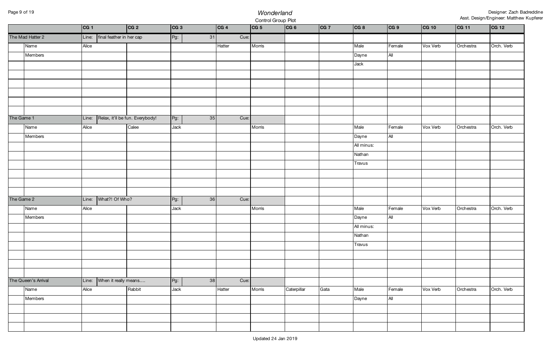## Page 9 of 19 *Wonderland* Control Group Plot

|            |                     | CG 1  |                                | CG 2                                  | CG 3   |    | CG 4   | CG 5   | H.,<br> CG 6 | CG 7 | CG 8       | CG 9   | CG 10    | CG 11     | CG 12      |
|------------|---------------------|-------|--------------------------------|---------------------------------------|--------|----|--------|--------|--------------|------|------------|--------|----------|-----------|------------|
|            | The Mad Hatter 2    |       | Line: final feather in her cap |                                       | $Pg$ : | 31 | Cue:   |        |              |      |            |        |          |           |            |
|            | Name                | Alice |                                |                                       |        |    | Hatter | Morris |              |      | Male       | Female | Vox Verb | Orchestra | Orch. Verb |
|            | Members             |       |                                |                                       |        |    |        |        |              |      | Dayne      | All    |          |           |            |
|            |                     |       |                                |                                       |        |    |        |        |              |      | Jack       |        |          |           |            |
|            |                     |       |                                |                                       |        |    |        |        |              |      |            |        |          |           |            |
|            |                     |       |                                |                                       |        |    |        |        |              |      |            |        |          |           |            |
|            |                     |       |                                |                                       |        |    |        |        |              |      |            |        |          |           |            |
|            |                     |       |                                |                                       |        |    |        |        |              |      |            |        |          |           |            |
|            |                     |       |                                |                                       |        |    |        |        |              |      |            |        |          |           |            |
| The Game 1 |                     |       |                                | Line: Relax, it'll be fun. Everybody! | $Pg$ : | 35 | Cue:   |        |              |      |            |        |          |           |            |
|            | Name                | Alice |                                | Calee                                 | Jack   |    |        | Morris |              |      | Male       | Female | Vox Verb | Orchestra | Orch. Verb |
|            | Members             |       |                                |                                       |        |    |        |        |              |      | Dayne      | All    |          |           |            |
|            |                     |       |                                |                                       |        |    |        |        |              |      | All minus: |        |          |           |            |
|            |                     |       |                                |                                       |        |    |        |        |              |      | Nathan     |        |          |           |            |
|            |                     |       |                                |                                       |        |    |        |        |              |      | Travus     |        |          |           |            |
|            |                     |       |                                |                                       |        |    |        |        |              |      |            |        |          |           |            |
|            |                     |       |                                |                                       |        |    |        |        |              |      |            |        |          |           |            |
|            |                     |       |                                |                                       |        |    |        |        |              |      |            |        |          |           |            |
| The Game 2 |                     |       | Line: What?! Of Who?           |                                       | $Pg$ : | 36 | Cue:   |        |              |      |            |        |          |           |            |
|            | Name                | Alice |                                |                                       | Jack   |    |        | Morris |              |      | Male       | Female | Vox Verb | Orchestra | Orch. Verb |
|            | Members             |       |                                |                                       |        |    |        |        |              |      | Dayne      | All    |          |           |            |
|            |                     |       |                                |                                       |        |    |        |        |              |      | All minus: |        |          |           |            |
|            |                     |       |                                |                                       |        |    |        |        |              |      | Nathan     |        |          |           |            |
|            |                     |       |                                |                                       |        |    |        |        |              |      | Travus     |        |          |           |            |
|            |                     |       |                                |                                       |        |    |        |        |              |      |            |        |          |           |            |
|            |                     |       |                                |                                       |        |    |        |        |              |      |            |        |          |           |            |
|            |                     |       |                                |                                       |        |    |        |        |              |      |            |        |          |           |            |
|            | The Queen's Arrival | Line: | When it really means           |                                       | Pg:    | 38 | Cue:   |        |              |      |            |        |          |           |            |
|            | Name                | Alice |                                | Rabbit                                | Jack   |    | Hatter | Morris | Caterpillar  | Gata | Male       | Female | Vox Verb | Orchestra | Orch. Verb |
|            | Members             |       |                                |                                       |        |    |        |        |              |      | Dayne      | $A$ ll |          |           |            |
|            |                     |       |                                |                                       |        |    |        |        |              |      |            |        |          |           |            |
|            |                     |       |                                |                                       |        |    |        |        |              |      |            |        |          |           |            |
|            |                     |       |                                |                                       |        |    |        |        |              |      |            |        |          |           |            |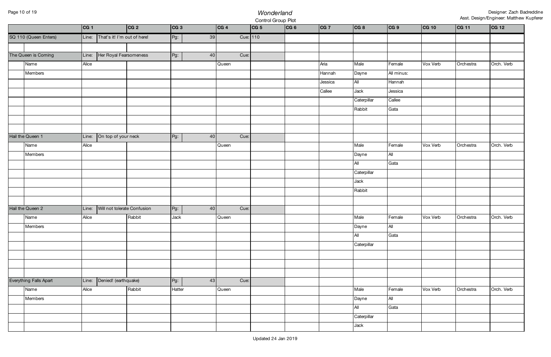# Page 10 of 19 *Wonderland* Control Group Plot

|                        | CG 1  |                             | CG 2   | CG 3   |    | CG 4  |          | CG 5 | CG 6 | CG 7    | CG 8        | CG 9       | CG 10    | CG 11     | CG 12      |
|------------------------|-------|-----------------------------|--------|--------|----|-------|----------|------|------|---------|-------------|------------|----------|-----------|------------|
| SQ 110 (Queen Enters)  | Line: | That's it! I'm out of here! |        | Pg:    | 39 |       | Cue: 110 |      |      |         |             |            |          |           |            |
|                        |       |                             |        |        |    |       |          |      |      |         |             |            |          |           |            |
| The Queen is Coming    | Line: | Her Royal Fearsomeness      |        | Pg:    | 40 |       | Cue:     |      |      |         |             |            |          |           |            |
| Name                   | Alice |                             |        |        |    | Queen |          |      |      | Aria    | Male        | Female     | Vox Verb | Orchestra | Orch. Verb |
| Members                |       |                             |        |        |    |       |          |      |      | Hannah  | Dayne       | All minus: |          |           |            |
|                        |       |                             |        |        |    |       |          |      |      | Jessica | All         | Hannah     |          |           |            |
|                        |       |                             |        |        |    |       |          |      |      | Callee  | Jack        | Jessica    |          |           |            |
|                        |       |                             |        |        |    |       |          |      |      |         | Caterpillar | Callee     |          |           |            |
|                        |       |                             |        |        |    |       |          |      |      |         | Rabbit      | Gata       |          |           |            |
|                        |       |                             |        |        |    |       |          |      |      |         |             |            |          |           |            |
|                        |       |                             |        |        |    |       |          |      |      |         |             |            |          |           |            |
| Hail the Queen 1       | Line: | On top of your neck         |        | Pg:    | 40 |       | Cue:     |      |      |         |             |            |          |           |            |
| Name                   | Alice |                             |        |        |    | Queen |          |      |      |         | Male        | Female     | Vox Verb | Orchestra | Orch. Verb |
| Members                |       |                             |        |        |    |       |          |      |      |         | Dayne       | All        |          |           |            |
|                        |       |                             |        |        |    |       |          |      |      |         | All         | Gata       |          |           |            |
|                        |       |                             |        |        |    |       |          |      |      |         | Caterpillar |            |          |           |            |
|                        |       |                             |        |        |    |       |          |      |      |         | Jack        |            |          |           |            |
|                        |       |                             |        |        |    |       |          |      |      |         | Rabbit      |            |          |           |            |
|                        |       |                             |        |        |    |       |          |      |      |         |             |            |          |           |            |
| Hail the Queen 2       | Line: | Will not tolerate Confusion |        | Pg:    | 40 |       | Cue:     |      |      |         |             |            |          |           |            |
| Name                   | Alice |                             | Rabbit | Jack   |    | Queen |          |      |      |         | Male        | Female     | Vox Verb | Orchestra | Orch. Verb |
| Members                |       |                             |        |        |    |       |          |      |      |         | Dayne       | All        |          |           |            |
|                        |       |                             |        |        |    |       |          |      |      |         | All         | Gata       |          |           |            |
|                        |       |                             |        |        |    |       |          |      |      |         | Caterpillar |            |          |           |            |
|                        |       |                             |        |        |    |       |          |      |      |         |             |            |          |           |            |
|                        |       |                             |        |        |    |       |          |      |      |         |             |            |          |           |            |
|                        |       |                             |        |        |    |       |          |      |      |         |             |            |          |           |            |
| Everything Falls Apart | Line: | Denied! (earthquake)        |        | Pg:    | 43 |       | Cue:     |      |      |         |             |            |          |           |            |
| Name                   | Alice |                             | Rabbit | Hatter |    | Queen |          |      |      |         | Male        | Female     | Vox Verb | Orchestra | Orch. Verb |
| Members                |       |                             |        |        |    |       |          |      |      |         | Dayne       | All        |          |           |            |
|                        |       |                             |        |        |    |       |          |      |      |         | All         | Gata       |          |           |            |
|                        |       |                             |        |        |    |       |          |      |      |         | Caterpillar |            |          |           |            |
|                        |       |                             |        |        |    |       |          |      |      |         | Jack        |            |          |           |            |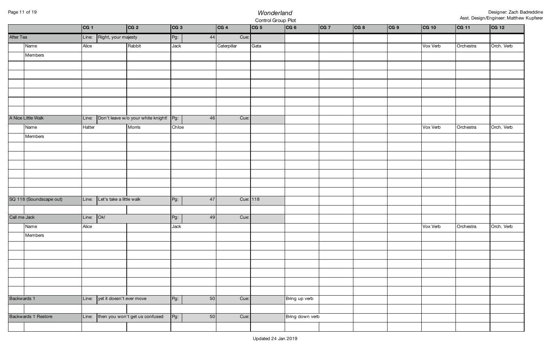# Page 11 of 19 *Wonderland* Control Group Plot

|              |                         | CG 1   |                                | CG 2                                           | CG 3   |    | CG 4        |          | CG 5 | CG 6            | CG 7 | CG 8 | CG 9 | CG 10                         | CG 11     | CG 12      |
|--------------|-------------------------|--------|--------------------------------|------------------------------------------------|--------|----|-------------|----------|------|-----------------|------|------|------|-------------------------------|-----------|------------|
| After Tea    |                         |        | Line: Right, your majesty      |                                                | Pg:    | 44 |             | Cue:     |      |                 |      |      |      |                               |           |            |
|              | Name                    | Alice  |                                | Rabbit                                         | Jack   |    | Caterpillar |          | Gata |                 |      |      |      | Vox Verb                      | Orchestra | Orch. Verb |
|              | Members                 |        |                                |                                                |        |    |             |          |      |                 |      |      |      |                               |           |            |
|              |                         |        |                                |                                                |        |    |             |          |      |                 |      |      |      |                               |           |            |
|              |                         |        |                                |                                                |        |    |             |          |      |                 |      |      |      |                               |           |            |
|              |                         |        |                                |                                                |        |    |             |          |      |                 |      |      |      |                               |           |            |
|              |                         |        |                                |                                                |        |    |             |          |      |                 |      |      |      |                               |           |            |
|              |                         |        |                                |                                                |        |    |             |          |      |                 |      |      |      |                               |           |            |
|              |                         |        |                                |                                                |        |    |             |          |      |                 |      |      |      |                               |           |            |
|              | A Nice Little Walk      |        |                                | Line: Don't leave w/o your white knight!   Pg: |        | 46 |             | Cue:     |      |                 |      |      |      |                               |           |            |
|              | Name                    | Hatter |                                | Morris                                         | Chloe  |    |             |          |      |                 |      |      |      | Vox Verb                      | Orchestra | Orch. Verb |
|              | Members                 |        |                                |                                                |        |    |             |          |      |                 |      |      |      |                               |           |            |
|              |                         |        |                                |                                                |        |    |             |          |      |                 |      |      |      |                               |           |            |
|              |                         |        |                                |                                                |        |    |             |          |      |                 |      |      |      |                               |           |            |
|              |                         |        |                                |                                                |        |    |             |          |      |                 |      |      |      |                               |           |            |
|              |                         |        |                                |                                                |        |    |             |          |      |                 |      |      |      |                               |           |            |
|              |                         |        |                                |                                                |        |    |             |          |      |                 |      |      |      |                               |           |            |
|              | SQ 118 (Soundscape out) |        | Line: Let's take a little walk |                                                | $Pg$ : | 47 |             | Cue: 118 |      |                 |      |      |      |                               |           |            |
|              |                         |        |                                |                                                |        |    |             |          |      |                 |      |      |      |                               |           |            |
| Call me Jack |                         | Line:  | OK!                            |                                                | Pg:    | 49 |             | Cue:     |      |                 |      |      |      |                               |           |            |
|              | Name                    | Alice  |                                |                                                | Jack   |    |             |          |      |                 |      |      |      | Vox Verb Orchestra Orch. Verb |           |            |
|              | Members                 |        |                                |                                                |        |    |             |          |      |                 |      |      |      |                               |           |            |
|              |                         |        |                                |                                                |        |    |             |          |      |                 |      |      |      |                               |           |            |
|              |                         |        |                                |                                                |        |    |             |          |      |                 |      |      |      |                               |           |            |
|              |                         |        |                                |                                                |        |    |             |          |      |                 |      |      |      |                               |           |            |
|              |                         |        |                                |                                                |        |    |             |          |      |                 |      |      |      |                               |           |            |
|              |                         |        |                                |                                                |        |    |             |          |      |                 |      |      |      |                               |           |            |
|              |                         |        |                                |                                                |        |    |             |          |      |                 |      |      |      |                               |           |            |
| Backwards 1  |                         |        | Line: yet it doesn't ever move |                                                | $Pg$ : | 50 |             | Cue:     |      | Bring up verb   |      |      |      |                               |           |            |
|              |                         |        |                                |                                                |        |    |             |          |      |                 |      |      |      |                               |           |            |
|              | Backwards 1 Restore     |        |                                | Line: then you won't get us confused           | $Pg$ : | 50 |             | Cue:     |      | Bring down verb |      |      |      |                               |           |            |
|              |                         |        |                                |                                                |        |    |             |          |      |                 |      |      |      |                               |           |            |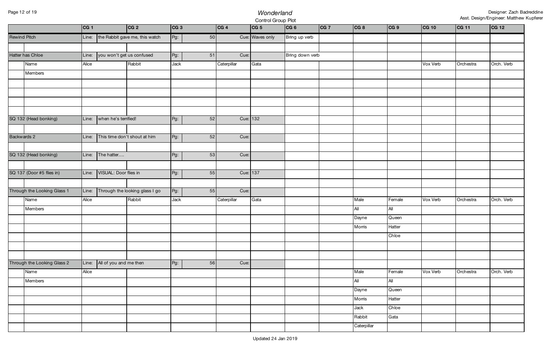## Page 12 of 19 *Wonderland* Control Group Plot

|                     |                             | CG 1  |                           | CG 2                           | CG 3   |    | CG 4        | CG 5            | CG 6            | CG 7 | CG 8        | CG 9   | CG 10    | CG 11     | CG 12      |
|---------------------|-----------------------------|-------|---------------------------|--------------------------------|--------|----|-------------|-----------------|-----------------|------|-------------|--------|----------|-----------|------------|
| <b>Rewind Pitch</b> |                             | Line: |                           | the Rabbit gave me, this watch | $Pg$ : | 50 |             | Cue: Waves only | Bring up verb   |      |             |        |          |           |            |
|                     |                             |       |                           |                                |        |    |             |                 |                 |      |             |        |          |           |            |
|                     | Hatter has Chloe            | Line: | you won't get us confused |                                | $Pg$ : | 51 | Cue:        |                 | Bring down verb |      |             |        |          |           |            |
|                     | Name                        | Alice |                           | Rabbit                         | Jack   |    | Caterpillar | Gata            |                 |      |             |        | Vox Verb | Orchestra | Orch. Verb |
|                     | Members                     |       |                           |                                |        |    |             |                 |                 |      |             |        |          |           |            |
|                     |                             |       |                           |                                |        |    |             |                 |                 |      |             |        |          |           |            |
|                     |                             |       |                           |                                |        |    |             |                 |                 |      |             |        |          |           |            |
|                     |                             |       |                           |                                |        |    |             |                 |                 |      |             |        |          |           |            |
|                     |                             |       |                           |                                |        |    |             |                 |                 |      |             |        |          |           |            |
|                     | SQ 132 (Head bonking)       | Line: | when he's terrified!      |                                | Pg:    | 52 | Cue: 132    |                 |                 |      |             |        |          |           |            |
|                     |                             |       |                           |                                |        |    |             |                 |                 |      |             |        |          |           |            |
| Backwards 2         |                             | Line: |                           | This time don't shout at him   | $Pg$ : | 52 | Cue:        |                 |                 |      |             |        |          |           |            |
|                     |                             |       |                           |                                |        |    |             |                 |                 |      |             |        |          |           |            |
|                     | SQ 132 (Head bonking)       | Line: | The hatter                |                                | Pg:    | 53 | Cue:        |                 |                 |      |             |        |          |           |            |
|                     |                             |       |                           |                                |        |    |             |                 |                 |      |             |        |          |           |            |
|                     | SQ 137 (Door #5 flies in)   | Line: | VISUAL: Door flies in     |                                | $Pg$ : | 55 | Cue: 137    |                 |                 |      |             |        |          |           |            |
|                     |                             |       |                           |                                |        |    |             |                 |                 |      |             |        |          |           |            |
|                     | Through the Looking Glass 1 | Line: |                           | Through the looking glass I go | $Pg$ : | 55 | Cue:        |                 |                 |      |             |        |          |           |            |
|                     | Name                        | Alice |                           | Rabbit                         | Jack   |    | Caterpillar | Gata            |                 |      | Male        | Female | Vox Verb | Orchestra | Orch. Verb |
|                     | Members                     |       |                           |                                |        |    |             |                 |                 |      | All         | All    |          |           |            |
|                     |                             |       |                           |                                |        |    |             |                 |                 |      | Dayne       | Queen  |          |           |            |
|                     |                             |       |                           |                                |        |    |             |                 |                 |      | Morris      | Hatter |          |           |            |
|                     |                             |       |                           |                                |        |    |             |                 |                 |      |             | Chloe  |          |           |            |
|                     |                             |       |                           |                                |        |    |             |                 |                 |      |             |        |          |           |            |
|                     |                             |       |                           |                                |        |    |             |                 |                 |      |             |        |          |           |            |
|                     | Through the Looking Glass 2 | Line: | All of you and me then    |                                | $Pg$ : | 56 | Cue:        |                 |                 |      |             |        |          |           |            |
|                     | Name                        | Alice |                           |                                |        |    |             |                 |                 |      | Male        | Female | Vox Verb | Orchestra | Orch. Verb |
|                     | Members                     |       |                           |                                |        |    |             |                 |                 |      | All         | All    |          |           |            |
|                     |                             |       |                           |                                |        |    |             |                 |                 |      | Dayne       | Queen  |          |           |            |
|                     |                             |       |                           |                                |        |    |             |                 |                 |      | Morris      | Hatter |          |           |            |
|                     |                             |       |                           |                                |        |    |             |                 |                 |      | Jack        | Chloe  |          |           |            |
|                     |                             |       |                           |                                |        |    |             |                 |                 |      | Rabbit      | Gata   |          |           |            |
|                     |                             |       |                           |                                |        |    |             |                 |                 |      | Caterpillar |        |          |           |            |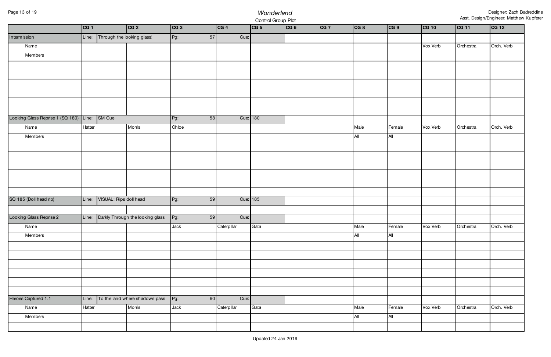# Page 13 of 19 *Wonderland* Control Group Plot

|              |                                        | CG 1   |                            | CG 2                             | CG 3   |    | CG 4        | CG 5 | CG 6 | CG 7 | CG 8        | CG 9          | CG 10    | CG 11     | CG 12      |
|--------------|----------------------------------------|--------|----------------------------|----------------------------------|--------|----|-------------|------|------|------|-------------|---------------|----------|-----------|------------|
| Intermission |                                        | Line:  | Through the looking glass! |                                  | $Pg$ : | 57 | Cue:        |      |      |      |             |               |          |           |            |
|              | Name                                   |        |                            |                                  |        |    |             |      |      |      |             |               | Vox Verb | Orchestra | Orch. Verb |
|              | Members                                |        |                            |                                  |        |    |             |      |      |      |             |               |          |           |            |
|              |                                        |        |                            |                                  |        |    |             |      |      |      |             |               |          |           |            |
|              |                                        |        |                            |                                  |        |    |             |      |      |      |             |               |          |           |            |
|              |                                        |        |                            |                                  |        |    |             |      |      |      |             |               |          |           |            |
|              |                                        |        |                            |                                  |        |    |             |      |      |      |             |               |          |           |            |
|              |                                        |        |                            |                                  |        |    |             |      |      |      |             |               |          |           |            |
|              |                                        |        |                            |                                  |        |    |             |      |      |      |             |               |          |           |            |
|              | Looking Glass Reprise 1 (SQ 180) Line: |        | SM Cue                     |                                  | Pg:    | 58 | Cue: 180    |      |      |      |             |               |          |           |            |
|              | Name                                   | Hatter |                            | Morris                           | Chloe  |    |             |      |      |      | Male        | Female        | Vox Verb | Orchestra | Orch. Verb |
|              | Members                                |        |                            |                                  |        |    |             |      |      |      | All         | All           |          |           |            |
|              |                                        |        |                            |                                  |        |    |             |      |      |      |             |               |          |           |            |
|              |                                        |        |                            |                                  |        |    |             |      |      |      |             |               |          |           |            |
|              |                                        |        |                            |                                  |        |    |             |      |      |      |             |               |          |           |            |
|              |                                        |        |                            |                                  |        |    |             |      |      |      |             |               |          |           |            |
|              |                                        |        |                            |                                  |        |    |             |      |      |      |             |               |          |           |            |
|              |                                        |        |                            |                                  |        |    |             |      |      |      |             |               |          |           |            |
|              | SQ 185 (Doll head rip)                 | Line:  | VISUAL: Rips doll head     |                                  | Pg:    | 59 | Cue: 185    |      |      |      |             |               |          |           |            |
|              |                                        | Line:  |                            | Darkly Through the looking glass |        | 59 | Cue:        |      |      |      |             |               |          |           |            |
|              | Looking Glass Reprise 2                |        |                            |                                  | $Pg$ : |    |             |      |      |      |             |               |          |           |            |
|              | Name<br>Members                        |        |                            |                                  | Jack   |    | Caterpillar | Gata |      |      | Male<br>All | Female<br>All | Vox Verb | Orchestra | Orch. Verb |
|              |                                        |        |                            |                                  |        |    |             |      |      |      |             |               |          |           |            |
|              |                                        |        |                            |                                  |        |    |             |      |      |      |             |               |          |           |            |
|              |                                        |        |                            |                                  |        |    |             |      |      |      |             |               |          |           |            |
|              |                                        |        |                            |                                  |        |    |             |      |      |      |             |               |          |           |            |
|              |                                        |        |                            |                                  |        |    |             |      |      |      |             |               |          |           |            |
|              |                                        |        |                            |                                  |        |    |             |      |      |      |             |               |          |           |            |
|              | Heroes Captured 1.1                    | Line:  |                            | To the land where shadows pass   | $Pg$ : | 60 | Cue:        |      |      |      |             |               |          |           |            |
|              | Name                                   | Hatter |                            | Morris                           | Jack   |    | Caterpillar | Gata |      |      | Male        | Female        | Vox Verb | Orchestra | Orch. Verb |
|              | Members                                |        |                            |                                  |        |    |             |      |      |      | All         | All           |          |           |            |
|              |                                        |        |                            |                                  |        |    |             |      |      |      |             |               |          |           |            |
|              |                                        |        |                            |                                  |        |    |             |      |      |      |             |               |          |           |            |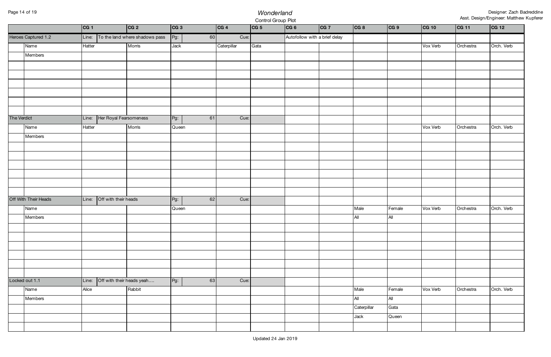# Page 14 of 19 *Wonderland* Control Group Plot

|             |                      | CG 1                          |                              | CG 2                           | CG 3   |    | CG 4        | CG 5 | CG 6                          | CG 7 | CG 8        | CG 9   | CG 10    | CG 11     | CG 12      |
|-------------|----------------------|-------------------------------|------------------------------|--------------------------------|--------|----|-------------|------|-------------------------------|------|-------------|--------|----------|-----------|------------|
|             | Heroes Captured 1.2  | Line:                         |                              | To the land where shadows pass | Pg:    | 60 | Cue:        |      | Autofollow with a brief delay |      |             |        |          |           |            |
|             | Name                 | Hatter                        |                              | Morris                         | Jack   |    | Caterpillar | Gata |                               |      |             |        | Vox Verb | Orchestra | Orch. Verb |
|             | Members              |                               |                              |                                |        |    |             |      |                               |      |             |        |          |           |            |
|             |                      |                               |                              |                                |        |    |             |      |                               |      |             |        |          |           |            |
|             |                      |                               |                              |                                |        |    |             |      |                               |      |             |        |          |           |            |
|             |                      |                               |                              |                                |        |    |             |      |                               |      |             |        |          |           |            |
|             |                      |                               |                              |                                |        |    |             |      |                               |      |             |        |          |           |            |
|             |                      |                               |                              |                                |        |    |             |      |                               |      |             |        |          |           |            |
|             |                      |                               |                              |                                |        |    |             |      |                               |      |             |        |          |           |            |
| The Verdict |                      |                               | Line: Her Royal Fearsomeness |                                | $Pg$ : | 61 | Cue:        |      |                               |      |             |        |          |           |            |
|             | Name                 | Hatter                        |                              | Morris                         | Queen  |    |             |      |                               |      |             |        | Vox Verb | Orchestra | Orch. Verb |
|             | Members              |                               |                              |                                |        |    |             |      |                               |      |             |        |          |           |            |
|             |                      |                               |                              |                                |        |    |             |      |                               |      |             |        |          |           |            |
|             |                      |                               |                              |                                |        |    |             |      |                               |      |             |        |          |           |            |
|             |                      |                               |                              |                                |        |    |             |      |                               |      |             |        |          |           |            |
|             |                      |                               |                              |                                |        |    |             |      |                               |      |             |        |          |           |            |
|             |                      |                               |                              |                                |        |    |             |      |                               |      |             |        |          |           |            |
|             |                      |                               |                              |                                |        |    |             |      |                               |      |             |        |          |           |            |
|             | Off With Their Heads | Off with their heads<br>Line: |                              |                                | Pg:    | 62 | Cue:        |      |                               |      |             |        |          |           |            |
|             | Name                 |                               |                              |                                | Queen  |    |             |      |                               |      | Male        | Female | Vox Verb | Orchestra | Orch. Verb |
|             | Members              |                               |                              |                                |        |    |             |      |                               |      | $A$ ll      | All    |          |           |            |
|             |                      |                               |                              |                                |        |    |             |      |                               |      |             |        |          |           |            |
|             |                      |                               |                              |                                |        |    |             |      |                               |      |             |        |          |           |            |
|             |                      |                               |                              |                                |        |    |             |      |                               |      |             |        |          |           |            |
|             |                      |                               |                              |                                |        |    |             |      |                               |      |             |        |          |           |            |
|             |                      |                               |                              |                                |        |    |             |      |                               |      |             |        |          |           |            |
|             | Locked out 1.1       | Line:                         |                              | Off with their heads yeah      |        | 63 | Cue:        |      |                               |      |             |        |          |           |            |
|             |                      | Alice                         |                              | Rabbit                         | $Pg$ : |    |             |      |                               |      | Male        | Female | Vox Verb | Orchestra | Orch. Verb |
|             | Name<br>Members      |                               |                              |                                |        |    |             |      |                               |      | All         | All    |          |           |            |
|             |                      |                               |                              |                                |        |    |             |      |                               |      |             | Gata   |          |           |            |
|             |                      |                               |                              |                                |        |    |             |      |                               |      | Caterpillar |        |          |           |            |
|             |                      |                               |                              |                                |        |    |             |      |                               |      | Jack        | Queen  |          |           |            |
|             |                      |                               |                              |                                |        |    |             |      |                               |      |             |        |          |           |            |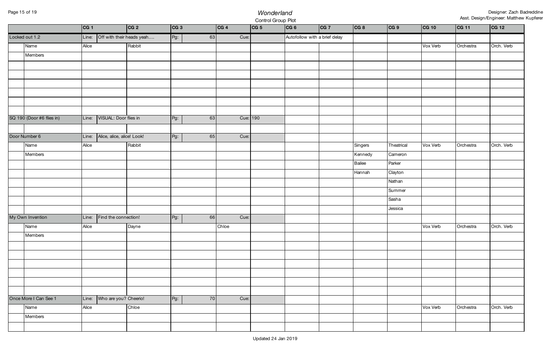## Page 15 of 19 *Wonderland* Control Group Plot

|                           | CG 1  |                             | CG 2                      | CG 3         | CG 4     | CG 5 | CG 6                          | CG 7 | CG 8    | CG 9       | CG 10    | CG 11     | CG 12      |
|---------------------------|-------|-----------------------------|---------------------------|--------------|----------|------|-------------------------------|------|---------|------------|----------|-----------|------------|
| Locked out 1.2            | Line: |                             | Off with their heads yeah | $Pg$ :<br>63 | Cue:     |      | Autofollow with a brief delay |      |         |            |          |           |            |
| Name                      | Alice |                             | Rabbit                    |              |          |      |                               |      |         |            | Vox Verb | Orchestra | Orch. Verb |
| Members                   |       |                             |                           |              |          |      |                               |      |         |            |          |           |            |
|                           |       |                             |                           |              |          |      |                               |      |         |            |          |           |            |
|                           |       |                             |                           |              |          |      |                               |      |         |            |          |           |            |
|                           |       |                             |                           |              |          |      |                               |      |         |            |          |           |            |
|                           |       |                             |                           |              |          |      |                               |      |         |            |          |           |            |
|                           |       |                             |                           |              |          |      |                               |      |         |            |          |           |            |
|                           |       |                             |                           |              |          |      |                               |      |         |            |          |           |            |
| SQ 190 (Door #6 flies in) | Line: | VISUAL: Door flies in       |                           | Pg:<br>63    | Cue: 190 |      |                               |      |         |            |          |           |            |
|                           |       |                             |                           |              |          |      |                               |      |         |            |          |           |            |
| Door Number 6             | Line: | Alice, alice, alice! Look!  |                           | Pg:<br>65    | Cue:     |      |                               |      |         |            |          |           |            |
| Name                      | Alice |                             | Rabbit                    |              |          |      |                               |      | Singers | Theatrical | Vox Verb | Orchestra | Orch. Verb |
| Members                   |       |                             |                           |              |          |      |                               |      | Kennedy | Cameron    |          |           |            |
|                           |       |                             |                           |              |          |      |                               |      | Bailee  | Parker     |          |           |            |
|                           |       |                             |                           |              |          |      |                               |      | Hannah  | Clayton    |          |           |            |
|                           |       |                             |                           |              |          |      |                               |      |         | Nathan     |          |           |            |
|                           |       |                             |                           |              |          |      |                               |      |         | Summer     |          |           |            |
|                           |       |                             |                           |              |          |      |                               |      |         | Sasha      |          |           |            |
|                           |       |                             |                           |              |          |      |                               |      |         | Jessica    |          |           |            |
| My Own Invention          | Line: | Find the connection!        |                           | Pg:<br>66    | Cue:     |      |                               |      |         |            |          |           |            |
| Name                      | Alice |                             | Dayne                     |              | Chloe    |      |                               |      |         |            | Vox Verb | Orchestra | Orch. Verb |
| Members                   |       |                             |                           |              |          |      |                               |      |         |            |          |           |            |
|                           |       |                             |                           |              |          |      |                               |      |         |            |          |           |            |
|                           |       |                             |                           |              |          |      |                               |      |         |            |          |           |            |
|                           |       |                             |                           |              |          |      |                               |      |         |            |          |           |            |
|                           |       |                             |                           |              |          |      |                               |      |         |            |          |           |            |
|                           |       |                             |                           |              |          |      |                               |      |         |            |          |           |            |
|                           |       |                             |                           |              |          |      |                               |      |         |            |          |           |            |
| Once More I Can See 1     |       | Line: Who are you? Cheerio! |                           | $Pg$ :<br>70 | Cue:     |      |                               |      |         |            |          |           |            |
| Name                      | Alice |                             | Chloe                     |              |          |      |                               |      |         |            | Vox Verb | Orchestra | Orch. Verb |
| Members                   |       |                             |                           |              |          |      |                               |      |         |            |          |           |            |
|                           |       |                             |                           |              |          |      |                               |      |         |            |          |           |            |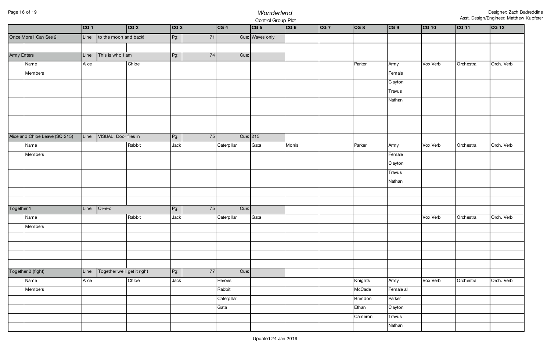## Page 16 of 19 *Wonderland* Control Group Plot

| Cue: Waves only<br>Once More I Can See 2<br>Line: to the moon and back!<br>$Pg$ :<br>71<br>Army Enters<br>This is who I am<br>Pg:<br>74<br>Cue:<br>Line:<br>Name<br>Chloe<br>Parker<br>Army<br>Vox Verb<br>Alice<br>Members<br>Female<br>Clayton<br>Travus<br>Nathan<br>Alice and Chloe Leave (SQ 215)<br>VISUAL: Door flies in<br>Cue: $215$<br>$\vert$ Line:<br>Pg:<br>75<br>Name<br>Parker<br>Rabbit<br>Gata<br>Morris<br>Army<br>Vox Verb<br>Jack<br>Caterpillar<br>Members<br>Female<br>Clayton<br>Travus<br>Nathan<br>$Or-e-o$<br>Together 1<br>Pg:<br>75<br>Cue:<br>Line: |                         |
|----------------------------------------------------------------------------------------------------------------------------------------------------------------------------------------------------------------------------------------------------------------------------------------------------------------------------------------------------------------------------------------------------------------------------------------------------------------------------------------------------------------------------------------------------------------------------------|-------------------------|
|                                                                                                                                                                                                                                                                                                                                                                                                                                                                                                                                                                                  |                         |
|                                                                                                                                                                                                                                                                                                                                                                                                                                                                                                                                                                                  |                         |
|                                                                                                                                                                                                                                                                                                                                                                                                                                                                                                                                                                                  |                         |
|                                                                                                                                                                                                                                                                                                                                                                                                                                                                                                                                                                                  | Orch. Verb<br>Orchestra |
|                                                                                                                                                                                                                                                                                                                                                                                                                                                                                                                                                                                  |                         |
|                                                                                                                                                                                                                                                                                                                                                                                                                                                                                                                                                                                  |                         |
|                                                                                                                                                                                                                                                                                                                                                                                                                                                                                                                                                                                  |                         |
|                                                                                                                                                                                                                                                                                                                                                                                                                                                                                                                                                                                  |                         |
|                                                                                                                                                                                                                                                                                                                                                                                                                                                                                                                                                                                  |                         |
|                                                                                                                                                                                                                                                                                                                                                                                                                                                                                                                                                                                  |                         |
|                                                                                                                                                                                                                                                                                                                                                                                                                                                                                                                                                                                  |                         |
|                                                                                                                                                                                                                                                                                                                                                                                                                                                                                                                                                                                  |                         |
|                                                                                                                                                                                                                                                                                                                                                                                                                                                                                                                                                                                  | Orch. Verb<br>Orchestra |
|                                                                                                                                                                                                                                                                                                                                                                                                                                                                                                                                                                                  |                         |
|                                                                                                                                                                                                                                                                                                                                                                                                                                                                                                                                                                                  |                         |
|                                                                                                                                                                                                                                                                                                                                                                                                                                                                                                                                                                                  |                         |
|                                                                                                                                                                                                                                                                                                                                                                                                                                                                                                                                                                                  |                         |
|                                                                                                                                                                                                                                                                                                                                                                                                                                                                                                                                                                                  |                         |
|                                                                                                                                                                                                                                                                                                                                                                                                                                                                                                                                                                                  |                         |
|                                                                                                                                                                                                                                                                                                                                                                                                                                                                                                                                                                                  |                         |
| Rabbit<br>Gata<br>Name<br>Jack<br>Vox Verb<br>Caterpillar                                                                                                                                                                                                                                                                                                                                                                                                                                                                                                                        | Orch. Verb<br>Orchestra |
| Members                                                                                                                                                                                                                                                                                                                                                                                                                                                                                                                                                                          |                         |
|                                                                                                                                                                                                                                                                                                                                                                                                                                                                                                                                                                                  |                         |
|                                                                                                                                                                                                                                                                                                                                                                                                                                                                                                                                                                                  |                         |
|                                                                                                                                                                                                                                                                                                                                                                                                                                                                                                                                                                                  |                         |
|                                                                                                                                                                                                                                                                                                                                                                                                                                                                                                                                                                                  |                         |
| Together we'll get it right<br>Pg:<br>77<br>Together 2 (fight)<br>Cue:<br>Line:                                                                                                                                                                                                                                                                                                                                                                                                                                                                                                  |                         |
| Chloe<br>Vox Verb<br>Name<br>Alice<br>Jack<br>Knights<br>Army<br>Heroes                                                                                                                                                                                                                                                                                                                                                                                                                                                                                                          | Orch. Verb<br>Orchestra |
| Rabbit<br>McCade<br>Female all<br>Members                                                                                                                                                                                                                                                                                                                                                                                                                                                                                                                                        |                         |
| Caterpillar<br>Parker<br>Brendon                                                                                                                                                                                                                                                                                                                                                                                                                                                                                                                                                 |                         |
| Clayton<br>Gata<br>Ethan                                                                                                                                                                                                                                                                                                                                                                                                                                                                                                                                                         |                         |
| Travus<br>Cameron                                                                                                                                                                                                                                                                                                                                                                                                                                                                                                                                                                |                         |
| Nathan                                                                                                                                                                                                                                                                                                                                                                                                                                                                                                                                                                           |                         |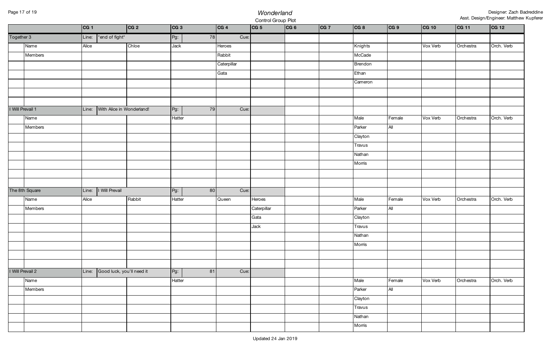# Page 17 of 19 *Wonderland* Control Group Plot

|                  |                | CG 1                               | CG 2   | CG 3         | CG 4        | CG 5        | CG 6 | CG 7 | CG 8    | CG 9   | <b>CG 10</b> | CG 11     | CG 12      |
|------------------|----------------|------------------------------------|--------|--------------|-------------|-------------|------|------|---------|--------|--------------|-----------|------------|
| Together 3       |                | *end of fight*<br>Line:            |        | 78<br>Pg:    | Cue:        |             |      |      |         |        |              |           |            |
|                  | Name           | Alice                              | Chloe  | Jack         | Heroes      |             |      |      | Knights |        | Vox Verb     | Orchestra | Orch. Verb |
|                  | Members        |                                    |        |              | Rabbit      |             |      |      | McCade  |        |              |           |            |
|                  |                |                                    |        |              | Caterpillar |             |      |      | Brendon |        |              |           |            |
|                  |                |                                    |        |              | Gata        |             |      |      | Ethan   |        |              |           |            |
|                  |                |                                    |        |              |             |             |      |      | Cameron |        |              |           |            |
|                  |                |                                    |        |              |             |             |      |      |         |        |              |           |            |
|                  |                |                                    |        |              |             |             |      |      |         |        |              |           |            |
| I Will Prevail 1 |                | With Alice in Wonderland!<br>Line: |        | $Pg$ :<br>79 | Cue:        |             |      |      |         |        |              |           |            |
|                  | Name           |                                    |        | Hatter       |             |             |      |      | Male    | Female | Vox Verb     | Orchestra | Orch. Verb |
|                  | Members        |                                    |        |              |             |             |      |      | Parker  | All    |              |           |            |
|                  |                |                                    |        |              |             |             |      |      | Clayton |        |              |           |            |
|                  |                |                                    |        |              |             |             |      |      | Travus  |        |              |           |            |
|                  |                |                                    |        |              |             |             |      |      | Nathan  |        |              |           |            |
|                  |                |                                    |        |              |             |             |      |      | Morris  |        |              |           |            |
|                  |                |                                    |        |              |             |             |      |      |         |        |              |           |            |
|                  |                |                                    |        |              |             |             |      |      |         |        |              |           |            |
|                  | The 8th Square | I Will Prevail<br>Line:            |        | $Pg$ :<br>80 | Cue:        |             |      |      |         |        |              |           |            |
|                  | Name           | Alice                              | Rabbit | Hatter       | Queen       | Heroes      |      |      | Male    | Female | Vox Verb     | Orchestra | Orch. Verb |
|                  | Members        |                                    |        |              |             | Caterpillar |      |      | Parker  | All    |              |           |            |
|                  |                |                                    |        |              |             | Gata        |      |      | Clayton |        |              |           |            |
|                  |                |                                    |        |              |             | Jack        |      |      | Travus  |        |              |           |            |
|                  |                |                                    |        |              |             |             |      |      | Nathan  |        |              |           |            |
|                  |                |                                    |        |              |             |             |      |      | Morris  |        |              |           |            |
|                  |                |                                    |        |              |             |             |      |      |         |        |              |           |            |
|                  |                |                                    |        |              |             |             |      |      |         |        |              |           |            |
| I Will Prevail 2 |                | Line: Good luck, you'll need it    |        | $Pg$ :<br>81 | Cue:        |             |      |      |         |        |              |           |            |
|                  | Name           |                                    |        | Hatter       |             |             |      |      | Male    | Female | Vox Verb     | Orchestra | Orch. Verb |
|                  | Members        |                                    |        |              |             |             |      |      | Parker  | All    |              |           |            |
|                  |                |                                    |        |              |             |             |      |      | Clayton |        |              |           |            |
|                  |                |                                    |        |              |             |             |      |      | Travus  |        |              |           |            |
|                  |                |                                    |        |              |             |             |      |      | Nathan  |        |              |           |            |
|                  |                |                                    |        |              |             |             |      |      | Morris  |        |              |           |            |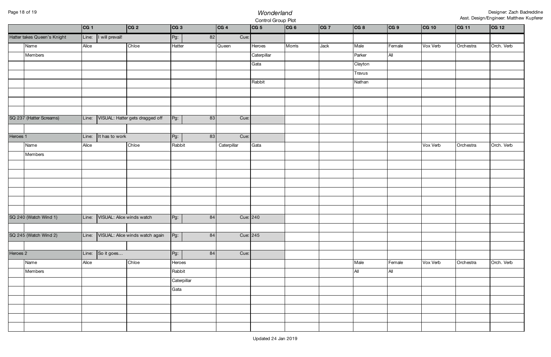# Page 18 of 19 *Wonderland* Control Group Plot

|          |                             | CG 1  |                           | CG 2                                  | CG 3         | CG 4        | CG 5        | CG 6   | CG 7 | CG 8    | CG 9   | CG 10    | CG 11     | CG 12      |
|----------|-----------------------------|-------|---------------------------|---------------------------------------|--------------|-------------|-------------|--------|------|---------|--------|----------|-----------|------------|
|          | Hatter takes Queen's Knight |       | Line:   I will prevail!   |                                       | Pg:<br>82    | Cue:        |             |        |      |         |        |          |           |            |
|          | Name                        | Alice |                           | Chloe                                 | Hatter       | Queen       | Heroes      | Morris | Jack | Male    | Female | Vox Verb | Orchestra | Orch. Verb |
|          | Members                     |       |                           |                                       |              |             | Caterpillar |        |      | Parker  | All    |          |           |            |
|          |                             |       |                           |                                       |              |             | Gata        |        |      | Clayton |        |          |           |            |
|          |                             |       |                           |                                       |              |             |             |        |      | Travus  |        |          |           |            |
|          |                             |       |                           |                                       |              |             | Rabbit      |        |      | Nathan  |        |          |           |            |
|          |                             |       |                           |                                       |              |             |             |        |      |         |        |          |           |            |
|          |                             |       |                           |                                       |              |             |             |        |      |         |        |          |           |            |
|          |                             |       |                           |                                       |              |             |             |        |      |         |        |          |           |            |
|          | SQ 237 (Hatter Screams)     | Line: |                           | VISUAL: Hatter gets dragged off       | Pg:<br>83    | Cue:        |             |        |      |         |        |          |           |            |
|          |                             |       |                           |                                       |              |             |             |        |      |         |        |          |           |            |
| Heroes 1 |                             | Line: | It has to work            |                                       | Pg:<br>83    | Cue:        |             |        |      |         |        |          |           |            |
|          | Name                        | Alice |                           | Chloe                                 | Rabbit       | Caterpillar | Gata        |        |      |         |        | Vox Verb | Orchestra | Orch. Verb |
|          | Members                     |       |                           |                                       |              |             |             |        |      |         |        |          |           |            |
|          |                             |       |                           |                                       |              |             |             |        |      |         |        |          |           |            |
|          |                             |       |                           |                                       |              |             |             |        |      |         |        |          |           |            |
|          |                             |       |                           |                                       |              |             |             |        |      |         |        |          |           |            |
|          |                             |       |                           |                                       |              |             |             |        |      |         |        |          |           |            |
|          |                             |       |                           |                                       |              |             |             |        |      |         |        |          |           |            |
|          |                             |       |                           |                                       |              |             |             |        |      |         |        |          |           |            |
|          | SQ 240 (Watch Wind 1)       | Line: | VISUAL: Alice winds watch |                                       | Pg:<br>84    | Cue: 240    |             |        |      |         |        |          |           |            |
|          |                             |       |                           |                                       |              |             |             |        |      |         |        |          |           |            |
|          | SQ 245 (Watch Wind 2)       |       |                           | Line: VISUAL: Alice winds watch again | $Pg$ :<br>84 | Cue: 245    |             |        |      |         |        |          |           |            |
|          |                             |       |                           |                                       |              |             |             |        |      |         |        |          |           |            |
| Heroes 2 |                             | Line: | So it goes                |                                       | Pg:<br>84    | Cue:        |             |        |      |         |        |          |           |            |
|          | Name                        | Alice |                           | Chloe                                 | Heroes       |             |             |        |      | Male    | Female | Vox Verb | Orchestra | Orch. Verb |
|          | Members                     |       |                           |                                       | Rabbit       |             |             |        |      | All     | All    |          |           |            |
|          |                             |       |                           |                                       | Caterpillar  |             |             |        |      |         |        |          |           |            |
|          |                             |       |                           |                                       | Gata         |             |             |        |      |         |        |          |           |            |
|          |                             |       |                           |                                       |              |             |             |        |      |         |        |          |           |            |
|          |                             |       |                           |                                       |              |             |             |        |      |         |        |          |           |            |
|          |                             |       |                           |                                       |              |             |             |        |      |         |        |          |           |            |
|          |                             |       |                           |                                       |              |             |             |        |      |         |        |          |           |            |